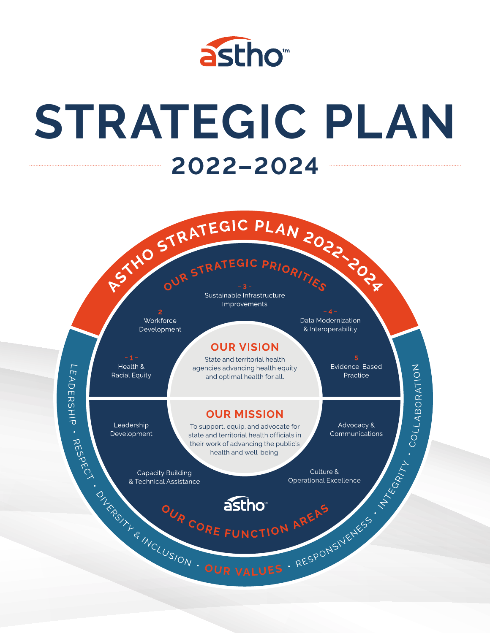

# STRATEGIC PLAN 2022-2024



Sustainable Infrastructure Improvements

Workforce Development

# **OUR VISION**

State and territorial health

Find Health & State and territorial health<br>
Bacial Equity and optimal health for all<br>
Bacia Equity and optimal health for all<br>
Development<br>
Leadership<br>
Leadership<br>
Development To support equity and doctorate for<br>
Developm

Data Modernization & Interoperability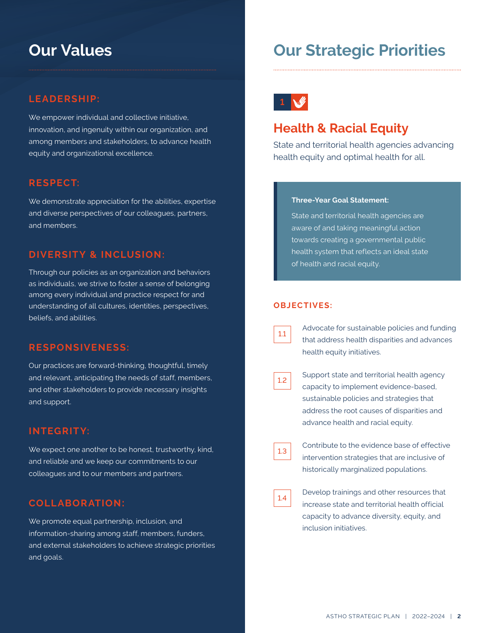# **LEADERSHIP:**

We empower individual and collective initiative, innovation, and ingenuity within our organization, and among members and stakeholders, to advance health equity and organizational excellence.

## **RESPECT:**

We demonstrate appreciation for the abilities, expertise and diverse perspectives of our colleagues, partners, and members.

# **DIVERSITY & INCLUSION:**

Through our policies as an organization and behaviors as individuals, we strive to foster a sense of belonging among every individual and practice respect for and understanding of all cultures, identities, perspectives, beliefs, and abilities.

# **RESPONSIVENESS:**

Our practices are forward-thinking, thoughtful, timely and relevant, anticipating the needs of staff, members, and other stakeholders to provide necessary insights and support.

# **INTEGRITY:**

We expect one another to be honest, trustworthy, kind, and reliable and we keep our commitments to our colleagues and to our members and partners.

# **COLLABORATION:**

We promote equal partnership, inclusion, and information-sharing among staff, members, funders, and external stakeholders to achieve strategic priorities and goals.

# **Our Values Our Strategic Priorities**



# **Health & Racial Equity**

State and territorial health agencies advancing health equity and optimal health for all.

#### **Three-Year Goal Statement:**

State and territorial health agencies are aware of and taking meaningful action towards creating a governmental public health system that reflects an ideal state of health and racial equity.

#### **OBJECTIVES:**

| ti<br>L |  |
|---------|--|
|         |  |

Advocate for sustainable policies and funding that address health disparities and advances health equity initiatives.

Support state and territorial health agency capacity to implement evidence-based, sustainable policies and strategies that address the root causes of disparities and advance health and racial equity.

| ×.<br>ti<br>L |  |
|---------------|--|
|               |  |

Contribute to the evidence base of effective intervention strategies that are inclusive of historically marginalized populations.

| ti<br>L |
|---------|
|---------|

Develop trainings and other resources that increase state and territorial health official capacity to advance diversity, equity, and inclusion initiatives.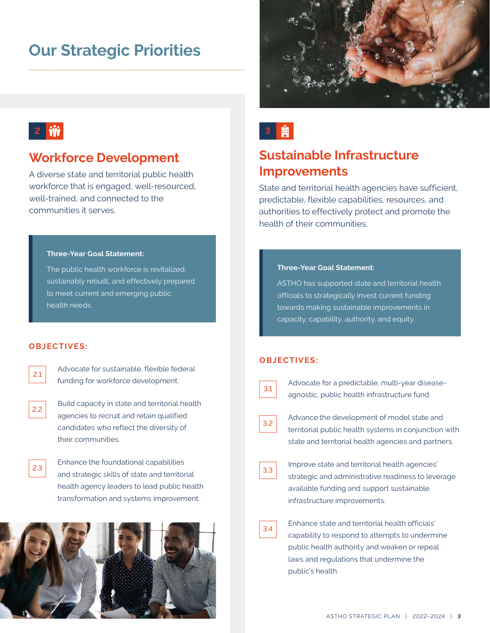# **Our Strategic Priorities**



# **2 前** 2 **前**

# **Workforce Development**

A diverse state and territorial public health workforce that is engaged, well-resourced, well-trained, and connected to the communities it serves.

#### **Three-Year Goal Statement:**

The public health workforce is revitalized, sustainably rebuilt, and effectively prepared to meet current and emerging public health needs.

#### **OBJECTIVES:**

| ۰,<br>ti<br>L<br>I<br>٧ |  |
|-------------------------|--|
|                         |  |

2.2

Advocate for sustainable, flexible federal funding for workforce development.

Build capacity in state and territorial health agencies to recruit and retain qualified candidates who reflect the diversity of their communities.

Enhance the foundational capabilities and strategic skills of state and territorial health agency leaders to lead public health transformation and systems improvement. 2.3



# **Sustainable Infrastructure Improvements**

State and territorial health agencies have sufficient, predictable, flexible capabilities, resources, and authorities to effectively protect and promote the health of their communities.

#### **Three-Year Goal Statement:**

ASTHO has supported state and territorial health officials to strategically invest current funding towards making sustainable improvements in capacity, capability, authority, and equity.

### **OBJECTIVES:**



Advocate for a predictable, multi-year diseaseagnostic, public health infrastructure fund.

Advance the development of model state and territorial public health systems in conjunction with state and territorial health agencies and partners. 3.2



Improve state and territorial health agencies' strategic and administrative readiness to leverage available funding and support sustainable infrastructure improvements.

| ×.<br>$\sim$ |
|--------------|
|              |

Enhance state and territorial health officials' capability to respond to attempts to undermine public health authority and weaken or repeal laws and regulations that undermine the public's health.